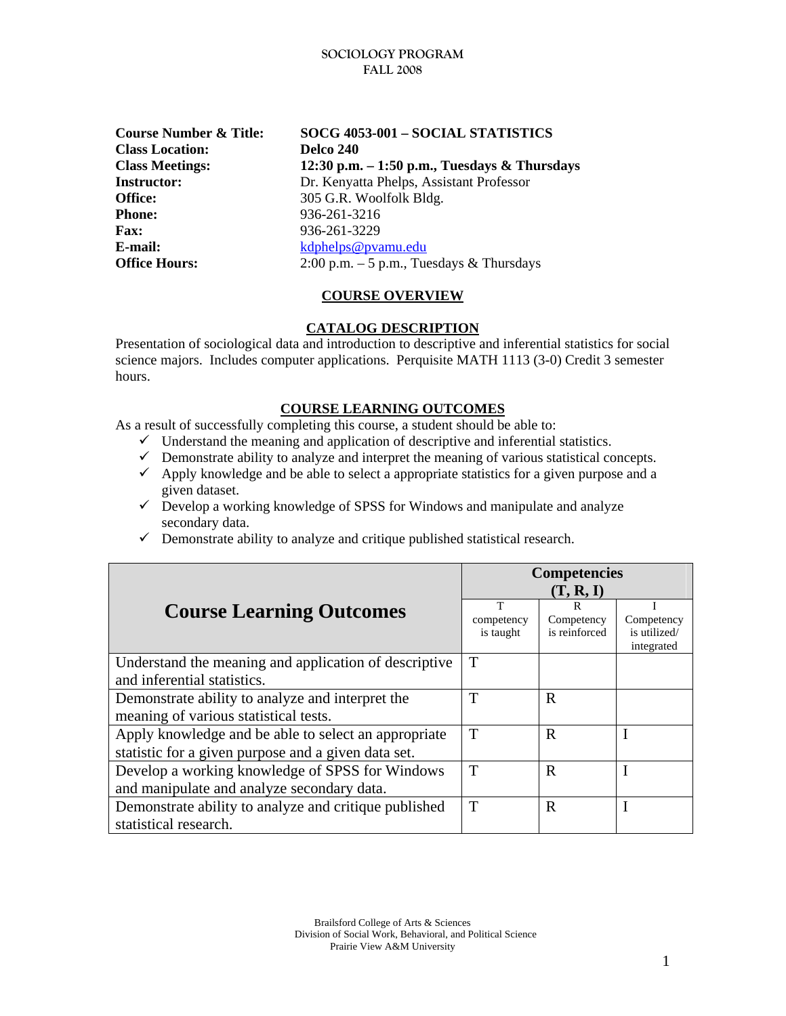**Class Location: Delco 240 Office:** 305 G.R. Woolfolk Bldg. **Phone:** 936-261-3216 **Fax:** 936-261-3229 **E-mail:** [kdphelps@pvamu.edu](mailto:kdphelps@pvamu.edu)

**Course Number & Title: SOCG 4053-001 – SOCIAL STATISTICS Class Meetings: 12:30 p.m. – 1:50 p.m., Tuesdays & Thursdays Instructor:** Dr. Kenyatta Phelps, Assistant Professor **Office Hours:** 2:00 p.m. – 5 p.m., Tuesdays & Thursdays

# **COURSE OVERVIEW**

## **CATALOG DESCRIPTION**

Presentation of sociological data and introduction to descriptive and inferential statistics for social science majors. Includes computer applications. Perquisite MATH 1113 (3-0) Credit 3 semester hours.

## **COURSE LEARNING OUTCOMES**

As a result of successfully completing this course, a student should be able to:

- $\checkmark$  Understand the meaning and application of descriptive and inferential statistics.
- $\checkmark$  Demonstrate ability to analyze and interpret the meaning of various statistical concepts.
- $\checkmark$  Apply knowledge and be able to select a appropriate statistics for a given purpose and a given dataset.
- $\checkmark$  Develop a working knowledge of SPSS for Windows and manipulate and analyze secondary data.
- $\checkmark$  Demonstrate ability to analyze and critique published statistical research.

|                                                                                                             | <b>Competencies</b><br>(T, R, I) |                                  |                                          |
|-------------------------------------------------------------------------------------------------------------|----------------------------------|----------------------------------|------------------------------------------|
| <b>Course Learning Outcomes</b>                                                                             | T<br>competency<br>is taught     | R<br>Competency<br>is reinforced | Competency<br>is utilized/<br>integrated |
| Understand the meaning and application of descriptive<br>and inferential statistics.                        | T                                |                                  |                                          |
| Demonstrate ability to analyze and interpret the<br>meaning of various statistical tests.                   | T                                | R                                |                                          |
| Apply knowledge and be able to select an appropriate<br>statistic for a given purpose and a given data set. | T                                | R                                |                                          |
| Develop a working knowledge of SPSS for Windows<br>and manipulate and analyze secondary data.               | T                                | R                                |                                          |
| Demonstrate ability to analyze and critique published<br>statistical research.                              | T                                | R                                |                                          |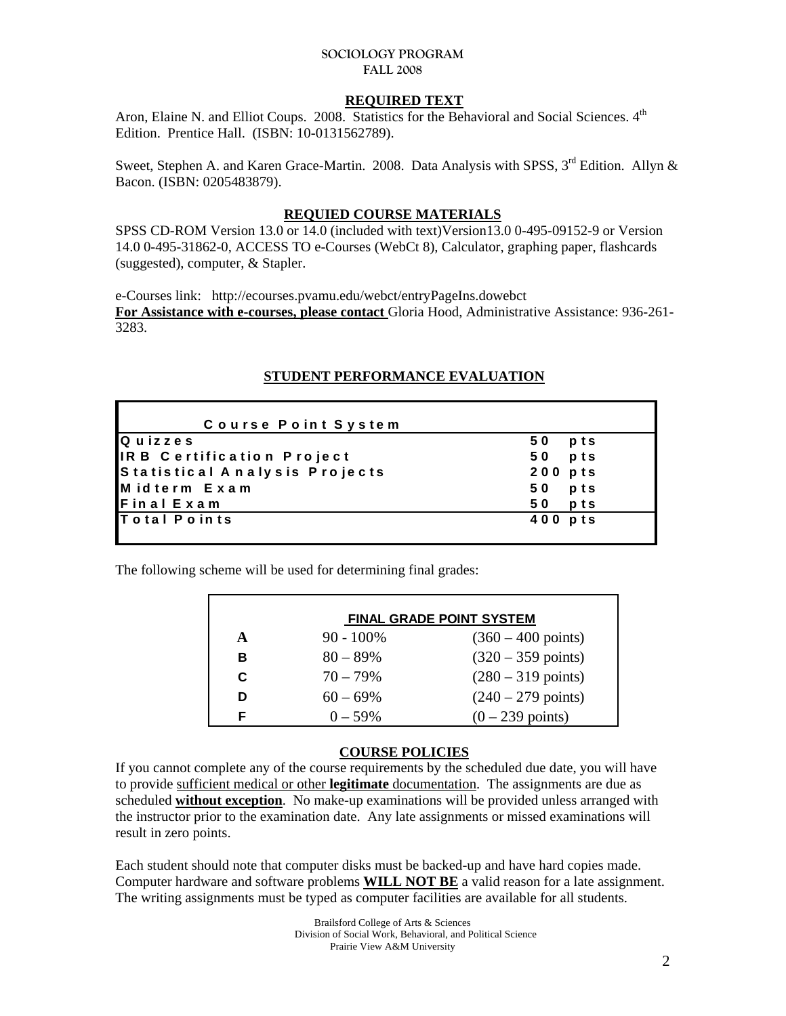### **REQUIRED TEXT**

Aron, Elaine N. and Elliot Coups. 2008. Statistics for the Behavioral and Social Sciences. 4<sup>th</sup> Edition. Prentice Hall. (ISBN: 10-0131562789).

Sweet, Stephen A. and Karen Grace-Martin. 2008. Data Analysis with SPSS,  $3^{rd}$  Edition. Allyn & Bacon. (ISBN: 0205483879).

### **REQUIED COURSE MATERIALS**

SPSS CD-ROM Version 13.0 or 14.0 (included with text)Version13.0 0-495-09152-9 or Version 14.0 0-495-31862-0, ACCESS TO e-Courses (WebCt 8), Calculator, graphing paper, flashcards (suggested), computer, & Stapler.

e-Courses link: http://ecourses.pvamu.edu/webct/entryPageIns.dowebct **For Assistance with e-courses, please contact** Gloria Hood, Administrative Assistance: 936-261- 3283.

# **STUDENT PERFORMANCE EVALUATION**

| Course Point System           |           |
|-------------------------------|-----------|
| Quizzes                       | 50<br>pts |
| IRB Certification Project     | pts<br>50 |
| Statistical Analysis Projects | $200$ pts |
| Midterm Exam                  | pts<br>50 |
| Final Exam                    | pts<br>50 |
| <b>Total Points</b>           | 400 pts   |
|                               |           |

The following scheme will be used for determining final grades:

| <b>FINAL GRADE POINT SYSTEM</b> |              |                              |  |  |
|---------------------------------|--------------|------------------------------|--|--|
| A                               | $90 - 100\%$ | $(360 - 400 \text{ points})$ |  |  |
| в                               | $80 - 89\%$  | $(320 - 359 \text{ points})$ |  |  |
| C                               | $70 - 79\%$  | $(280 - 319 \text{ points})$ |  |  |
| D                               | $60 - 69\%$  | $(240 - 279 \text{ points})$ |  |  |
| F                               | $0 - 59\%$   | $(0-239 \text{ points})$     |  |  |

# **COURSE POLICIES**

If you cannot complete any of the course requirements by the scheduled due date, you will have to provide sufficient medical or other **legitimate** documentation. The assignments are due as scheduled **without exception**. No make-up examinations will be provided unless arranged with the instructor prior to the examination date. Any late assignments or missed examinations will result in zero points.

Each student should note that computer disks must be backed-up and have hard copies made. Computer hardware and software problems **WILL NOT BE** a valid reason for a late assignment. The writing assignments must be typed as computer facilities are available for all students.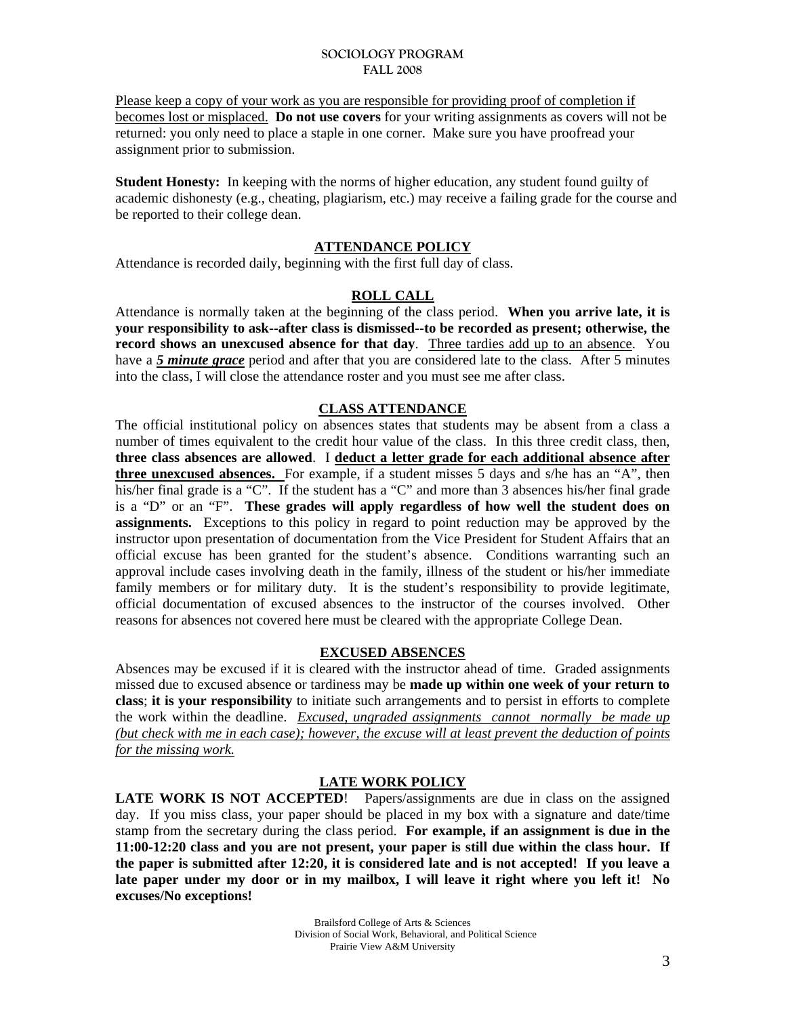Please keep a copy of your work as you are responsible for providing proof of completion if becomes lost or misplaced. **Do not use covers** for your writing assignments as covers will not be returned: you only need to place a staple in one corner. Make sure you have proofread your assignment prior to submission.

**Student Honesty:** In keeping with the norms of higher education, any student found guilty of academic dishonesty (e.g., cheating, plagiarism, etc.) may receive a failing grade for the course and be reported to their college dean.

## **ATTENDANCE POLICY**

Attendance is recorded daily, beginning with the first full day of class.

### **ROLL CALL**

Attendance is normally taken at the beginning of the class period. **When you arrive late, it is your responsibility to ask--after class is dismissed--to be recorded as present; otherwise, the record shows an unexcused absence for that day**. Three tardies add up to an absence. You have a *5 minute grace* period and after that you are considered late to the class. After 5 minutes into the class, I will close the attendance roster and you must see me after class.

## **CLASS ATTENDANCE**

The official institutional policy on absences states that students may be absent from a class a number of times equivalent to the credit hour value of the class. In this three credit class, then, **three class absences are allowed**. I **deduct a letter grade for each additional absence after three unexcused absences.** For example, if a student misses 5 days and s/he has an "A", then his/her final grade is a "C". If the student has a "C" and more than 3 absences his/her final grade is a "D" or an "F". **These grades will apply regardless of how well the student does on assignments.** Exceptions to this policy in regard to point reduction may be approved by the instructor upon presentation of documentation from the Vice President for Student Affairs that an official excuse has been granted for the student's absence. Conditions warranting such an approval include cases involving death in the family, illness of the student or his/her immediate family members or for military duty. It is the student's responsibility to provide legitimate, official documentation of excused absences to the instructor of the courses involved. Other reasons for absences not covered here must be cleared with the appropriate College Dean.

### **EXCUSED ABSENCES**

Absences may be excused if it is cleared with the instructor ahead of time. Graded assignments missed due to excused absence or tardiness may be **made up within one week of your return to class**; **it is your responsibility** to initiate such arrangements and to persist in efforts to complete the work within the deadline. *Excused, ungraded assignments cannot normally be made up (but check with me in each case); however, the excuse will at least prevent the deduction of points for the missing work.*

# **LATE WORK POLICY**

**LATE WORK IS NOT ACCEPTED!** Papers/assignments are due in class on the assigned day. If you miss class, your paper should be placed in my box with a signature and date/time stamp from the secretary during the class period. **For example, if an assignment is due in the 11:00-12:20 class and you are not present, your paper is still due within the class hour. If the paper is submitted after 12:20, it is considered late and is not accepted! If you leave a late paper under my door or in my mailbox, I will leave it right where you left it! No excuses/No exceptions!**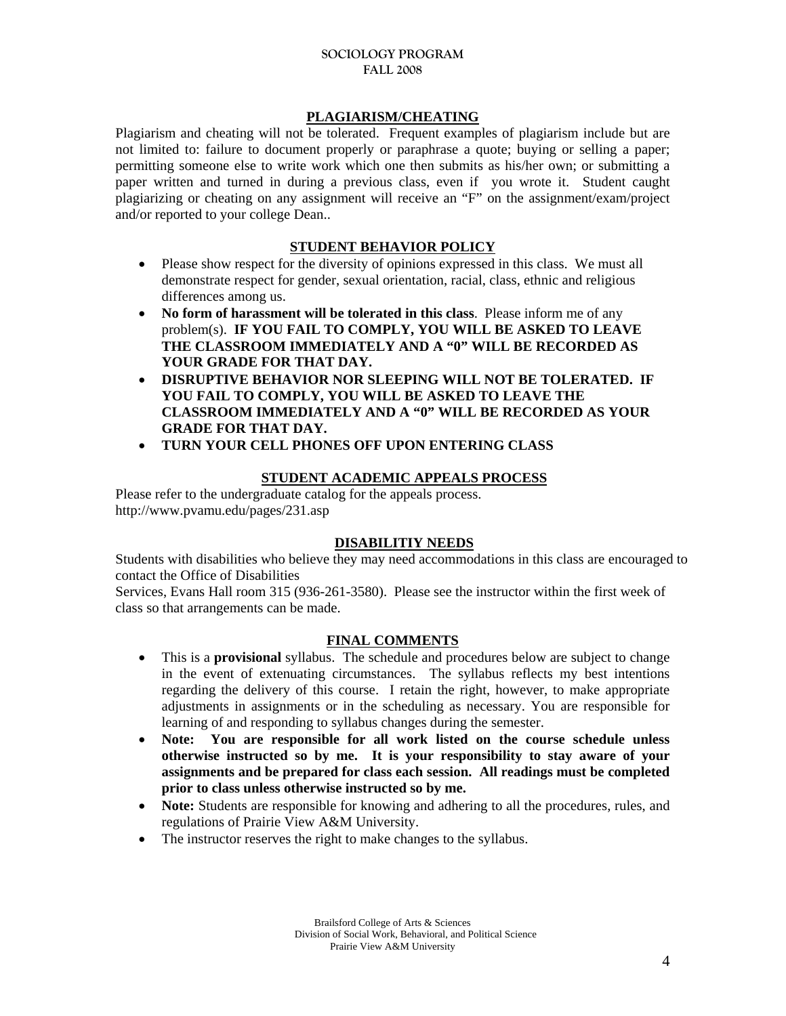# **PLAGIARISM/CHEATING**

Plagiarism and cheating will not be tolerated. Frequent examples of plagiarism include but are not limited to: failure to document properly or paraphrase a quote; buying or selling a paper; permitting someone else to write work which one then submits as his/her own; or submitting a paper written and turned in during a previous class, even if you wrote it. Student caught plagiarizing or cheating on any assignment will receive an "F" on the assignment/exam/project and/or reported to your college Dean..

# **STUDENT BEHAVIOR POLICY**

- Please show respect for the diversity of opinions expressed in this class. We must all demonstrate respect for gender, sexual orientation, racial, class, ethnic and religious differences among us.
- No form of harassment will be tolerated in this class. Please inform me of any problem(s). **IF YOU FAIL TO COMPLY, YOU WILL BE ASKED TO LEAVE THE CLASSROOM IMMEDIATELY AND A "0" WILL BE RECORDED AS YOUR GRADE FOR THAT DAY.**
- **DISRUPTIVE BEHAVIOR NOR SLEEPING WILL NOT BE TOLERATED. IF YOU FAIL TO COMPLY, YOU WILL BE ASKED TO LEAVE THE CLASSROOM IMMEDIATELY AND A "0" WILL BE RECORDED AS YOUR GRADE FOR THAT DAY.**
- **TURN YOUR CELL PHONES OFF UPON ENTERING CLASS**

## **STUDENT ACADEMIC APPEALS PROCESS**

Please refer to the undergraduate catalog for the appeals process. http://www.pvamu.edu/pages/231.asp

# **DISABILITIY NEEDS**

Students with disabilities who believe they may need accommodations in this class are encouraged to contact the Office of Disabilities

Services, Evans Hall room 315 (936-261-3580). Please see the instructor within the first week of class so that arrangements can be made.

# **FINAL COMMENTS**

- This is a **provisional** syllabus. The schedule and procedures below are subject to change in the event of extenuating circumstances. The syllabus reflects my best intentions regarding the delivery of this course. I retain the right, however, to make appropriate adjustments in assignments or in the scheduling as necessary. You are responsible for learning of and responding to syllabus changes during the semester.
- **Note: You are responsible for all work listed on the course schedule unless otherwise instructed so by me. It is your responsibility to stay aware of your assignments and be prepared for class each session. All readings must be completed prior to class unless otherwise instructed so by me.**
- **Note:** Students are responsible for knowing and adhering to all the procedures, rules, and regulations of Prairie View A&M University.
- The instructor reserves the right to make changes to the syllabus.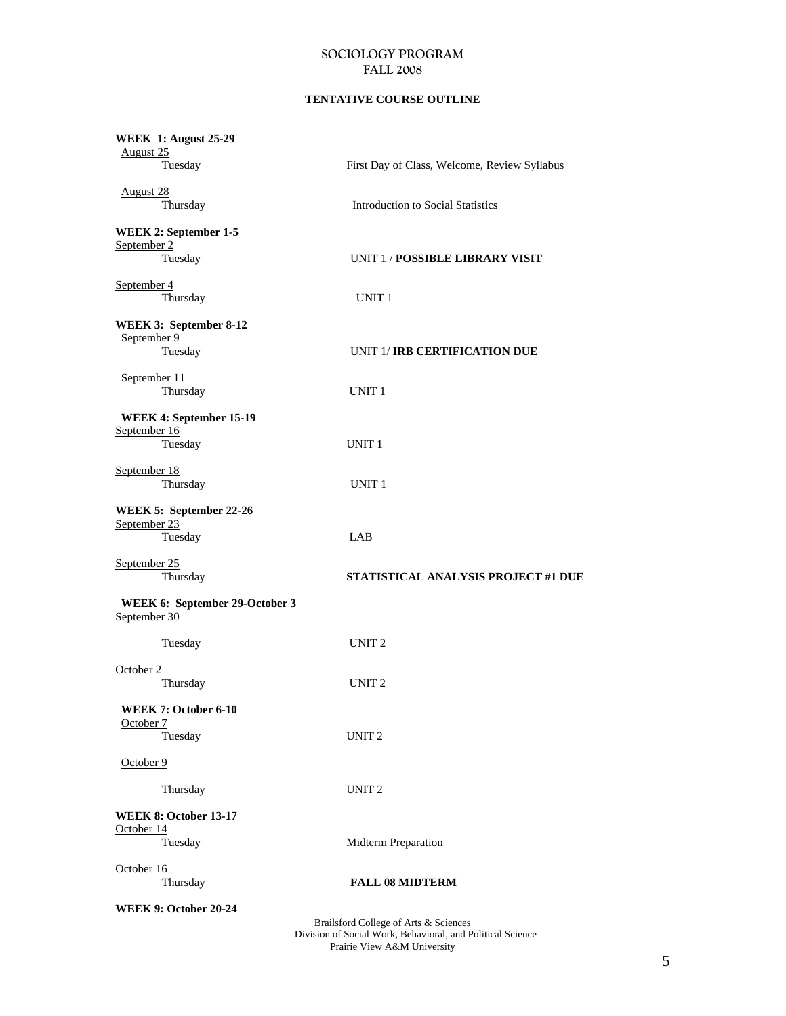### **TENTATIVE COURSE OUTLINE**

| <b>WEEK 1: August 25-29</b><br>August 25<br>Tuesday    | First Day of Class, Welcome, Review Syllabus                                                        |
|--------------------------------------------------------|-----------------------------------------------------------------------------------------------------|
| <b>August 28</b><br>Thursday                           | <b>Introduction to Social Statistics</b>                                                            |
| <b>WEEK 2: September 1-5</b><br>September 2<br>Tuesday | UNIT 1 / POSSIBLE LIBRARY VISIT                                                                     |
| September 4<br>Thursday                                | UNIT <sub>1</sub>                                                                                   |
| WEEK 3: September 8-12<br>September 9<br>Tuesday       | UNIT 1/ IRB CERTIFICATION DUE                                                                       |
| September 11<br>Thursday                               | UNIT <sub>1</sub>                                                                                   |
| WEEK 4: September 15-19<br>September 16<br>Tuesday     | UNIT <sub>1</sub>                                                                                   |
| September 18<br>Thursday                               | UNIT <sub>1</sub>                                                                                   |
| WEEK 5: September 22-26<br>September 23<br>Tuesday     | LAB                                                                                                 |
| September 25<br>Thursday                               | STATISTICAL ANALYSIS PROJECT #1 DUE                                                                 |
| WEEK 6: September 29-October 3<br>September 30         |                                                                                                     |
| Tuesday                                                | UNIT <sub>2</sub>                                                                                   |
| October 2<br>Thursday                                  | UNIT <sub>2</sub>                                                                                   |
| WEEK 7: October 6-10<br>October 7<br>Tuesday           | UNIT <sub>2</sub>                                                                                   |
| October 9                                              |                                                                                                     |
| Thursday                                               | UNIT <sub>2</sub>                                                                                   |
| <b>WEEK 8: October 13-17</b><br>October 14<br>Tuesday  | Midterm Preparation                                                                                 |
| October 16<br>Thursday                                 | <b>FALL 08 MIDTERM</b>                                                                              |
| WEEK 9: October 20-24                                  | Brailsford College of Arts & Sciences<br>Division of Social Work, Behavioral, and Political Science |

Prairie View A&M University